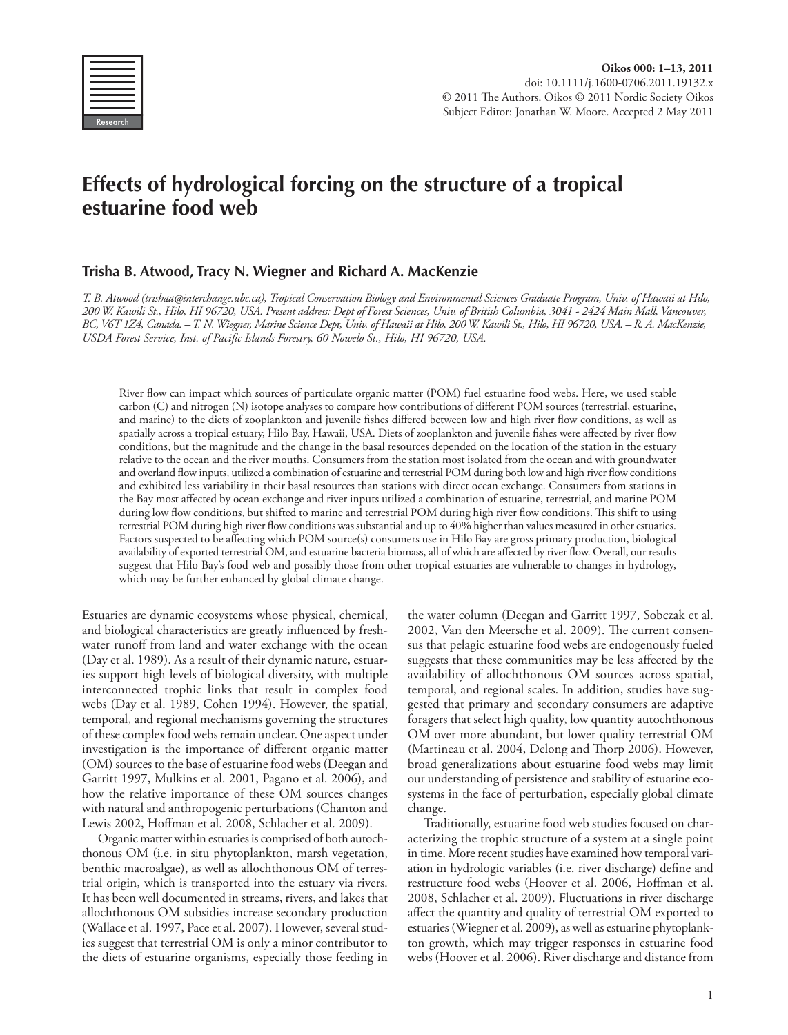| Research |  |
|----------|--|

# **Effects of hydrological forcing on the structure of a tropical estuarine food web**

# **Trisha B. Atwood, Tracy N. Wiegner and Richard A. MacKenzie**

*T. B. Atwood (trishaa@interchange.ubc.ca), Tropical Conservation Biology and Environmental Sciences Graduate Program, Univ. of Hawaii at Hilo, 200 W. Kawili St., Hilo, HI 96720, USA. Present address: Dept of Forest Sciences, Univ. of British Columbia, 3041 - 2424 Main Mall, Vancouver, BC, V6T 1Z4, Canada. – T. N. Wiegner, Marine Science Dept, Univ. of Hawaii at Hilo, 200 W. Kawili St., Hilo, HI 96720, USA. – R. A. MacKenzie, USDA Forest Service, Inst. of Pacific Islands Forestry, 60 Nowelo St., Hilo, HI 96720, USA.*

River flow can impact which sources of particulate organic matter (POM) fuel estuarine food webs. Here, we used stable carbon (C) and nitrogen (N) isotope analyses to compare how contributions of different POM sources (terrestrial, estuarine, and marine) to the diets of zooplankton and juvenile fishes differed between low and high river flow conditions, as well as spatially across a tropical estuary, Hilo Bay, Hawaii, USA. Diets of zooplankton and juvenile fishes were affected by river flow conditions, but the magnitude and the change in the basal resources depended on the location of the station in the estuary relative to the ocean and the river mouths. Consumers from the station most isolated from the ocean and with groundwater and overland flow inputs, utilized a combination of estuarine and terrestrial POM during both low and high river flow conditions and exhibited less variability in their basal resources than stations with direct ocean exchange. Consumers from stations in the Bay most affected by ocean exchange and river inputs utilized a combination of estuarine, terrestrial, and marine POM during low flow conditions, but shifted to marine and terrestrial POM during high river flow conditions. This shift to using terrestrial POM during high river flow conditions was substantial and up to 40% higher than values measured in other estuaries. Factors suspected to be affecting which POM source(s) consumers use in Hilo Bay are gross primary production, biological availability of exported terrestrial OM, and estuarine bacteria biomass, all of which are affected by river flow. Overall, our results suggest that Hilo Bay's food web and possibly those from other tropical estuaries are vulnerable to changes in hydrology, which may be further enhanced by global climate change.

Estuaries are dynamic ecosystems whose physical, chemical, and biological characteristics are greatly influenced by freshwater runoff from land and water exchange with the ocean (Day et al. 1989). As a result of their dynamic nature, estuaries support high levels of biological diversity, with multiple interconnected trophic links that result in complex food webs (Day et al. 1989, Cohen 1994). However, the spatial, temporal, and regional mechanisms governing the structures of these complex food webs remain unclear. One aspect under investigation is the importance of different organic matter (OM) sources to the base of estuarine food webs (Deegan and Garritt 1997, Mulkins et al. 2001, Pagano et al. 2006), and how the relative importance of these OM sources changes with natural and anthropogenic perturbations (Chanton and Lewis 2002, Hoffman et al. 2008, Schlacher et al. 2009).

Organic matter within estuaries is comprised of both autochthonous OM (i.e. in situ phytoplankton, marsh vegetation, benthic macroalgae), as well as allochthonous OM of terrestrial origin, which is transported into the estuary via rivers. It has been well documented in streams, rivers, and lakes that allochthonous OM subsidies increase secondary production (Wallace et al. 1997, Pace et al. 2007). However, several studies suggest that terrestrial OM is only a minor contributor to the diets of estuarine organisms, especially those feeding in the water column (Deegan and Garritt 1997, Sobczak et al. 2002, Van den Meersche et al. 2009). The current consensus that pelagic estuarine food webs are endogenously fueled suggests that these communities may be less affected by the availability of allochthonous OM sources across spatial, temporal, and regional scales. In addition, studies have suggested that primary and secondary consumers are adaptive foragers that select high quality, low quantity autochthonous OM over more abundant, but lower quality terrestrial OM (Martineau et al. 2004, Delong and Thorp 2006). However, broad generalizations about estuarine food webs may limit our understanding of persistence and stability of estuarine ecosystems in the face of perturbation, especially global climate change.

Traditionally, estuarine food web studies focused on characterizing the trophic structure of a system at a single point in time. More recent studies have examined how temporal variation in hydrologic variables (i.e. river discharge) define and restructure food webs (Hoover et al. 2006, Hoffman et al. 2008, Schlacher et al. 2009). Fluctuations in river discharge affect the quantity and quality of terrestrial OM exported to estuaries (Wiegner et al. 2009), as well as estuarine phytoplankton growth, which may trigger responses in estuarine food webs (Hoover et al. 2006). River discharge and distance from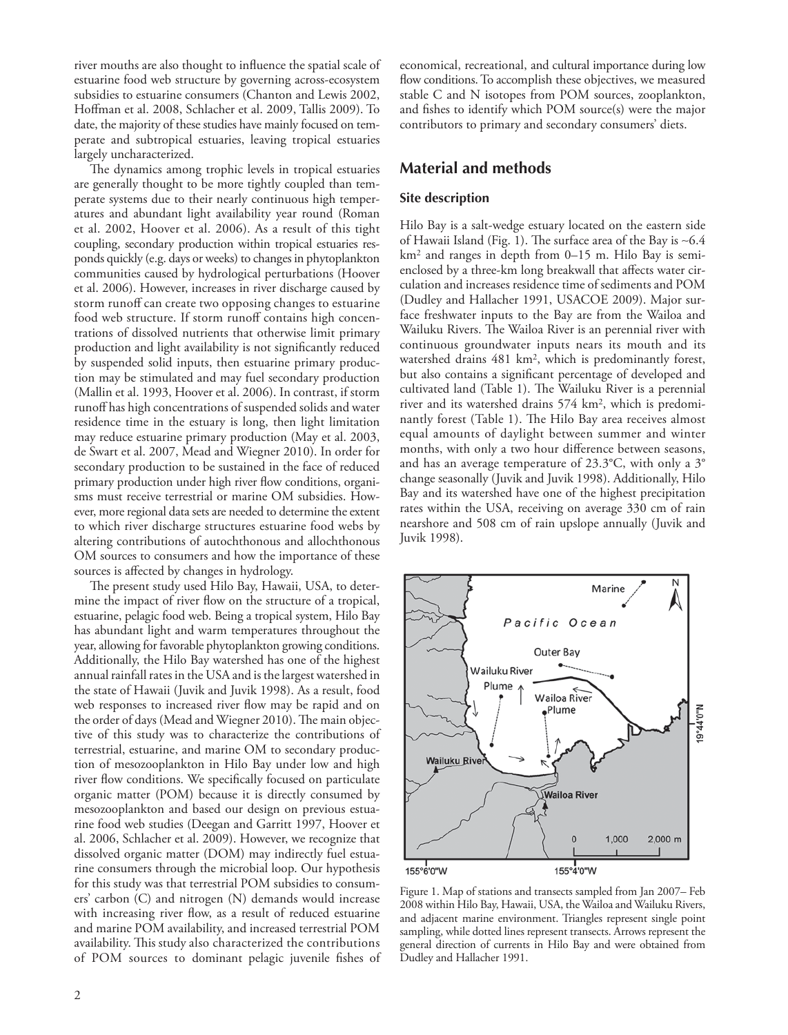river mouths are also thought to influence the spatial scale of estuarine food web structure by governing across-ecosystem subsidies to estuarine consumers (Chanton and Lewis 2002, Hoffman et al. 2008, Schlacher et al. 2009, Tallis 2009). To date, the majority of these studies have mainly focused on temperate and subtropical estuaries, leaving tropical estuaries largely uncharacterized.

The dynamics among trophic levels in tropical estuaries are generally thought to be more tightly coupled than temperate systems due to their nearly continuous high temperatures and abundant light availability year round (Roman et al. 2002, Hoover et al. 2006). As a result of this tight coupling, secondary production within tropical estuaries responds quickly (e.g. days or weeks) to changes in phytoplankton communities caused by hydrological perturbations (Hoover et al. 2006). However, increases in river discharge caused by storm runoff can create two opposing changes to estuarine food web structure. If storm runoff contains high concentrations of dissolved nutrients that otherwise limit primary production and light availability is not significantly reduced by suspended solid inputs, then estuarine primary production may be stimulated and may fuel secondary production (Mallin et al. 1993, Hoover et al. 2006). In contrast, if storm runoff has high concentrations of suspended solids and water residence time in the estuary is long, then light limitation may reduce estuarine primary production (May et al. 2003, de Swart et al. 2007, Mead and Wiegner 2010). In order for secondary production to be sustained in the face of reduced primary production under high river flow conditions, organisms must receive terrestrial or marine OM subsidies. However, more regional data sets are needed to determine the extent to which river discharge structures estuarine food webs by altering contributions of autochthonous and allochthonous OM sources to consumers and how the importance of these sources is affected by changes in hydrology.

The present study used Hilo Bay, Hawaii, USA, to determine the impact of river flow on the structure of a tropical, estuarine, pelagic food web. Being a tropical system, Hilo Bay has abundant light and warm temperatures throughout the year, allowing for favorable phytoplankton growing conditions. Additionally, the Hilo Bay watershed has one of the highest annual rainfall rates in the USA and is the largest watershed in the state of Hawaii (Juvik and Juvik 1998). As a result, food web responses to increased river flow may be rapid and on the order of days (Mead and Wiegner 2010). The main objective of this study was to characterize the contributions of terrestrial, estuarine, and marine OM to secondary production of mesozooplankton in Hilo Bay under low and high river flow conditions. We specifically focused on particulate organic matter (POM) because it is directly consumed by mesozooplankton and based our design on previous estuarine food web studies (Deegan and Garritt 1997, Hoover et al. 2006, Schlacher et al. 2009). However, we recognize that dissolved organic matter (DOM) may indirectly fuel estuarine consumers through the microbial loop. Our hypothesis for this study was that terrestrial POM subsidies to consumers' carbon (C) and nitrogen (N) demands would increase with increasing river flow, as a result of reduced estuarine and marine POM availability, and increased terrestrial POM availability. This study also characterized the contributions of POM sources to dominant pelagic juvenile fishes of

economical, recreational, and cultural importance during low flow conditions. To accomplish these objectives, we measured stable C and N isotopes from POM sources, zooplankton, and fishes to identify which POM source(s) were the major contributors to primary and secondary consumers' diets.

# **Material and methods**

## **Site description**

Hilo Bay is a salt-wedge estuary located on the eastern side of Hawaii Island (Fig. 1). The surface area of the Bay is ∼6.4 km2 and ranges in depth from 0–15 m. Hilo Bay is semienclosed by a three-km long breakwall that affects water circulation and increases residence time of sediments and POM (Dudley and Hallacher 1991, USACOE 2009). Major surface freshwater inputs to the Bay are from the Wailoa and Wailuku Rivers. The Wailoa River is an perennial river with continuous groundwater inputs nears its mouth and its watershed drains 481 km2, which is predominantly forest, but also contains a significant percentage of developed and cultivated land (Table 1). The Wailuku River is a perennial river and its watershed drains 574 km2, which is predominantly forest (Table 1). The Hilo Bay area receives almost equal amounts of daylight between summer and winter months, with only a two hour difference between seasons, and has an average temperature of 23.3°C, with only a 3° change seasonally (Juvik and Juvik 1998). Additionally, Hilo Bay and its watershed have one of the highest precipitation rates within the USA, receiving on average 330 cm of rain nearshore and 508 cm of rain upslope annually (Juvik and Juvik 1998).



Figure 1. Map of stations and transects sampled from Jan 2007– Feb 2008 within Hilo Bay, Hawaii, USA, the Wailoa and Wailuku Rivers, and adjacent marine environment. Triangles represent single point sampling, while dotted lines represent transects. Arrows represent the general direction of currents in Hilo Bay and were obtained from Dudley and Hallacher 1991.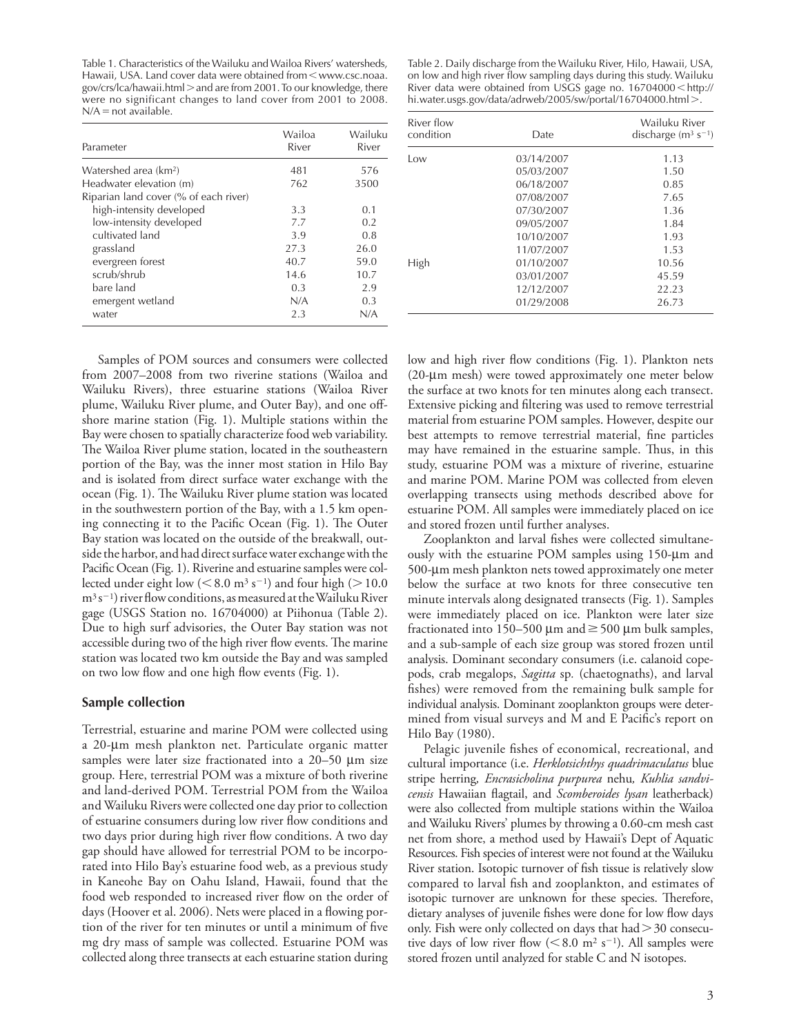Table 1. Characteristics of the Wailuku and Wailoa Rivers' watersheds, Hawaii, USA. Land cover data were obtained from < www.csc.noaa. gov/crs/lca/hawaii.html > and are from 2001. To our knowledge, there were no significant changes to land cover from 2001 to 2008.  $N/A = not available$ .

| Parameter                             | Wailoa<br>River | Wailuku<br>River |
|---------------------------------------|-----------------|------------------|
| Watershed area (km <sup>2</sup> )     | 481             | 576              |
| Headwater elevation (m)               | 762             | 3500             |
| Riparian land cover (% of each river) |                 |                  |
| high-intensity developed              | 3.3             | 0.1              |
| low-intensity developed               | 7.7             | 0.2              |
| cultivated land                       | 3.9             | 0.8              |
| grassland                             | 27.3            | 26.0             |
| evergreen forest                      | 40.7            | 59.0             |
| scrub/shrub                           | 14.6            | 10.7             |
| bare land                             | 0.3             | 2.9              |
| emergent wetland                      | N/A             | 0.3              |
| water                                 | 2.3             | N/A              |

Samples of POM sources and consumers were collected from 2007–2008 from two riverine stations (Wailoa and Wailuku Rivers), three estuarine stations (Wailoa River plume, Wailuku River plume, and Outer Bay), and one offshore marine station (Fig. 1). Multiple stations within the Bay were chosen to spatially characterize food web variability. The Wailoa River plume station, located in the southeastern portion of the Bay, was the inner most station in Hilo Bay and is isolated from direct surface water exchange with the ocean (Fig. 1). The Wailuku River plume station was located in the southwestern portion of the Bay, with a 1.5 km opening connecting it to the Pacific Ocean (Fig. 1). The Outer Bay station was located on the outside of the breakwall, outside the harbor, and had direct surface water exchange with the Pacific Ocean (Fig. 1). Riverine and estuarine samples were collected under eight low ( $\leq 8.0$  m<sup>3</sup> s<sup>-1</sup>) and four high ( $> 10.0$  $m<sup>3</sup> s<sup>-1</sup>$ ) river flow conditions, as measured at the Wailuku River gage (USGS Station no. 16704000) at Piihonua (Table 2). Due to high surf advisories, the Outer Bay station was not accessible during two of the high river flow events. The marine station was located two km outside the Bay and was sampled on two low flow and one high flow events (Fig. 1).

## **Sample collection**

Terrestrial, estuarine and marine POM were collected using a 20-µm mesh plankton net. Particulate organic matter samples were later size fractionated into a  $20-50 \mu m$  size group. Here, terrestrial POM was a mixture of both riverine and land-derived POM. Terrestrial POM from the Wailoa and Wailuku Rivers were collected one day prior to collection of estuarine consumers during low river flow conditions and two days prior during high river flow conditions. A two day gap should have allowed for terrestrial POM to be incorporated into Hilo Bay's estuarine food web, as a previous study in Kaneohe Bay on Oahu Island, Hawaii, found that the food web responded to increased river flow on the order of days (Hoover et al. 2006). Nets were placed in a flowing portion of the river for ten minutes or until a minimum of five mg dry mass of sample was collected. Estuarine POM was collected along three transects at each estuarine station during

Table 2. Daily discharge from the Wailuku River, Hilo, Hawaii, USA, on low and high river flow sampling days during this study. Wailuku River data were obtained from USGS gage no.  $16704000$  < http:// hi.water.usgs.gov/data/adrweb/2005/sw/portal/16704000.html>.

| River flow<br>condition | Date       | Wailuku River<br>discharge $(m^3 s^{-1})$ |
|-------------------------|------------|-------------------------------------------|
| Low                     | 03/14/2007 | 1.13                                      |
|                         | 05/03/2007 | 1.50                                      |
|                         | 06/18/2007 | 0.85                                      |
|                         | 07/08/2007 | 7.65                                      |
|                         | 07/30/2007 | 1.36                                      |
|                         | 09/05/2007 | 1.84                                      |
|                         | 10/10/2007 | 1.93                                      |
|                         | 11/07/2007 | 1.53                                      |
| High                    | 01/10/2007 | 10.56                                     |
|                         | 03/01/2007 | 45.59                                     |
|                         | 12/12/2007 | 22.23                                     |
|                         | 01/29/2008 | 26.73                                     |

low and high river flow conditions (Fig. 1). Plankton nets  $(20 - \mu m$  mesh) were towed approximately one meter below the surface at two knots for ten minutes along each transect. Extensive picking and filtering was used to remove terrestrial material from estuarine POM samples. However, despite our best attempts to remove terrestrial material, fine particles may have remained in the estuarine sample. Thus, in this study, estuarine POM was a mixture of riverine, estuarine and marine POM. Marine POM was collected from eleven overlapping transects using methods described above for estuarine POM. All samples were immediately placed on ice and stored frozen until further analyses.

Zooplankton and larval fishes were collected simultaneously with the estuarine POM samples using  $150$ - $\mu$ m and 500-µm mesh plankton nets towed approximately one meter below the surface at two knots for three consecutive ten minute intervals along designated transects (Fig. 1). Samples were immediately placed on ice. Plankton were later size fractionated into 150–500  $\mu$ m and  $\geq$  500  $\mu$ m bulk samples, and a sub-sample of each size group was stored frozen until analysis. Dominant secondary consumers (i.e. calanoid copepods, crab megalops, *Sagitta* sp*.* (chaetognaths), and larval fishes) were removed from the remaining bulk sample for individual analysis. Dominant zooplankton groups were determined from visual surveys and M and E Pacific's report on Hilo Bay (1980).

Pelagic juvenile fishes of economical, recreational, and cultural importance (i.e. *Herklotsichthys quadrimaculatus* blue stripe herring*, Encrasicholina purpurea* nehu*, Kuhlia sandvicensis* Hawaiian flagtail, and *Scomberoides lysan* leatherback) were also collected from multiple stations within the Wailoa and Wailuku Rivers' plumes by throwing a 0.60-cm mesh cast net from shore, a method used by Hawaii's Dept of Aquatic Resources. Fish species of interest were not found at the Wailuku River station. Isotopic turnover of fish tissue is relatively slow compared to larval fish and zooplankton, and estimates of isotopic turnover are unknown for these species. Therefore, dietary analyses of juvenile fishes were done for low flow days only. Fish were only collected on days that  $had > 30$  consecutive days of low river flow  $(< 8.0$  m<sup>2</sup> s<sup>-1</sup>). All samples were stored frozen until analyzed for stable C and N isotopes.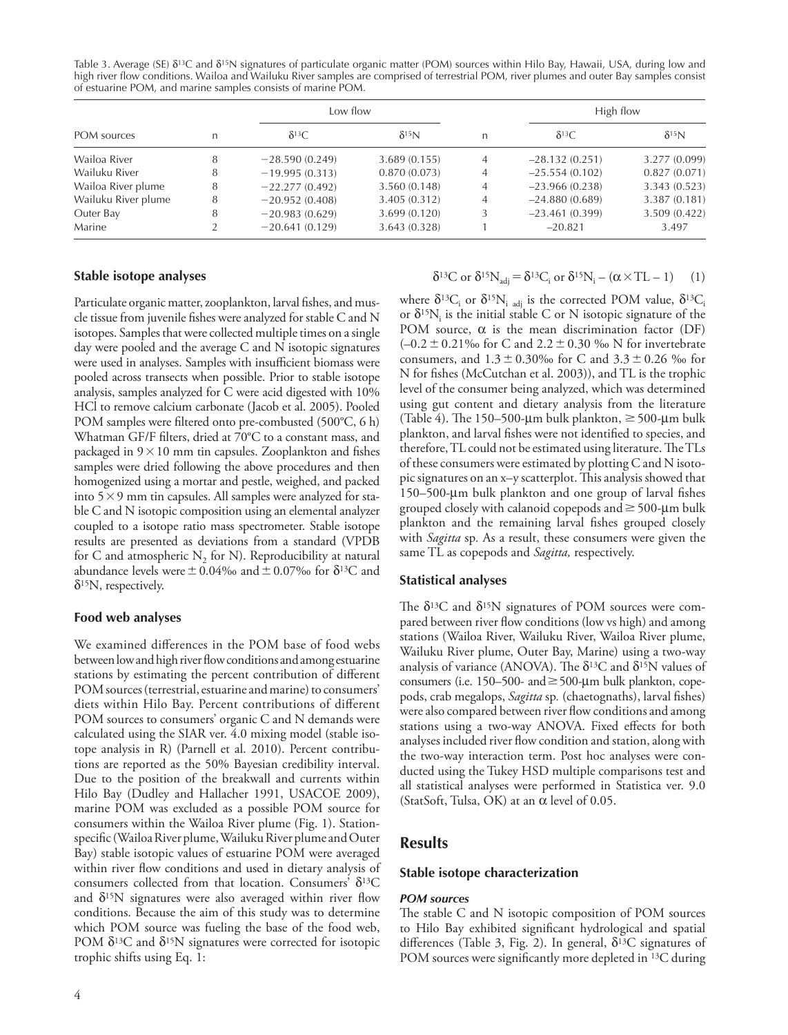Table 3. Average (SE)  $\delta^{13}C$  and  $\delta^{15}N$  signatures of particulate organic matter (POM) sources within Hilo Bay, Hawaii, USA, during low and high river flow conditions. Wailoa and Wailuku River samples are comprised of terrestrial POM, river plumes and outer Bay samples consist of estuarine POM, and marine samples consists of marine POM.

|                     |   | ow flow          |                |                | High flow        |                |
|---------------------|---|------------------|----------------|----------------|------------------|----------------|
| POM sources         | n | $\delta^{13}$ C  | $\delta^{15}N$ | n              | $\delta^{13}C$   | $\delta^{15}N$ |
| Wailoa River        | 8 | $-28.590(0.249)$ | 3.689(0.155)   | 4              | $-28.132(0.251)$ | 3.277 (0.099)  |
| Wailuku River       | 8 | $-19.995(0.313)$ | 0.870(0.073)   | $\overline{4}$ | $-25.554(0.102)$ | 0.827(0.071)   |
| Wailoa River plume  | 8 | $-22.277(0.492)$ | 3.560 (0.148)  | 4              | $-23.966(0.238)$ | 3.343 (0.523)  |
| Wailuku River plume | 8 | $-20.952(0.408)$ | 3.405 (0.312)  | 4              | $-24.880(0.689)$ | 3.387 (0.181)  |
| Outer Bay           | 8 | $-20.983(0.629)$ | 3.699(0.120)   | 3              | $-23.461(0.399)$ | 3.509 (0.422)  |
| Marine              |   | $-20.641(0.129)$ | 3.643 (0.328)  |                | $-20.821$        | 3.497          |

#### **Stable isotope analyses**

Particulate organic matter, zooplankton, larval fishes, and muscle tissue from juvenile fishes were analyzed for stable C and N isotopes. Samples that were collected multiple times on a single day were pooled and the average C and N isotopic signatures were used in analyses. Samples with insufficient biomass were pooled across transects when possible. Prior to stable isotope analysis, samples analyzed for C were acid digested with 10% HCl to remove calcium carbonate (Jacob et al. 2005). Pooled POM samples were filtered onto pre-combusted (500°C, 6 h) Whatman GF/F filters, dried at 70°C to a constant mass, and packaged in  $9 \times 10$  mm tin capsules. Zooplankton and fishes samples were dried following the above procedures and then homogenized using a mortar and pestle, weighed, and packed into  $5\times9$  mm tin capsules. All samples were analyzed for stable C and N isotopic composition using an elemental analyzer coupled to a isotope ratio mass spectrometer. Stable isotope results are presented as deviations from a standard (VPDB for C and atmospheric  $N_2$  for N). Reproducibility at natural abundance levels were  $\pm 0.04\%$  and  $\pm 0.07\%$  for  $\delta^{13}$ C and  $\delta$ <sup>15</sup>N, respectively.

#### **Food web analyses**

We examined differences in the POM base of food webs between low and high river flow conditions and among estuarine stations by estimating the percent contribution of different POM sources (terrestrial, estuarine and marine) to consumers' diets within Hilo Bay. Percent contributions of different POM sources to consumers' organic C and N demands were calculated using the SIAR ver. 4.0 mixing model (stable isotope analysis in R) (Parnell et al. 2010). Percent contributions are reported as the 50% Bayesian credibility interval. Due to the position of the breakwall and currents within Hilo Bay (Dudley and Hallacher 1991, USACOE 2009), marine POM was excluded as a possible POM source for consumers within the Wailoa River plume (Fig. 1). Stationspecific (Wailoa River plume, Wailuku River plume and Outer Bay) stable isotopic values of estuarine POM were averaged within river flow conditions and used in dietary analysis of consumers collected from that location. Consumers'  $\delta^{13}C$ and  $\delta^{15}N$  signatures were also averaged within river flow conditions. Because the aim of this study was to determine which POM source was fueling the base of the food web, POM  $\delta^{13}$ C and  $\delta^{15}$ N signatures were corrected for isotopic trophic shifts using Eq. 1:

$$
\delta^{13}C \text{ or } \delta^{15}N_{\text{adj}} = \delta^{13}C_{i} \text{ or } \delta^{15}N_{i} - (\alpha \times TL - 1) \qquad (1)
$$

where  $\delta^{13}C_i$  or  $\delta^{15}N_i$  adj is the corrected POM value,  $\delta^{13}C_i$ or  $\delta^{15}N_i$  is the initial stable C or N isotopic signature of the POM source,  $\alpha$  is the mean discrimination factor (DF)  $(-0.2 \pm 0.21)$ % for C and  $2.2 \pm 0.30$  % N for invertebrate consumers, and  $1.3 \pm 0.30\%$  for C and  $3.3 \pm 0.26\%$  for N for fishes (McCutchan et al. 2003)), and TL is the trophic level of the consumer being analyzed, which was determined using gut content and dietary analysis from the literature (Table 4). The 150–500-µm bulk plankton,  $\geq$  500-µm bulk plankton, and larval fishes were not identified to species, and therefore, TL could not be estimated using literature. The TLs of these consumers were estimated by plotting C and N isotopic signatures on an x–y scatterplot. This analysis showed that  $150-500$ - $\mu$ m bulk plankton and one group of larval fishes grouped closely with calanoid copepods and  $\geq$  500-µm bulk plankton and the remaining larval fishes grouped closely with *Sagitta* sp*.* As a result, these consumers were given the same TL as copepods and *Sagitta,* respectively.

# **Statistical analyses**

The  $\delta^{13}$ C and  $\delta^{15}$ N signatures of POM sources were compared between river flow conditions (low vs high) and among stations (Wailoa River, Wailuku River, Wailoa River plume, Wailuku River plume, Outer Bay, Marine) using a two-way analysis of variance (ANOVA). The  $\delta^{13}C$  and  $\delta^{15}N$  values of consumers (i.e. 150–500- and  $\geq$  500- $\mu$ m bulk plankton, copepods, crab megalops, *Sagitta* sp*.* (chaetognaths), larval fishes) were also compared between river flow conditions and among stations using a two-way ANOVA. Fixed effects for both analyses included river flow condition and station, along with the two-way interaction term. Post hoc analyses were conducted using the Tukey HSD multiple comparisons test and all statistical analyses were performed in Statistica ver. 9.0 (StatSoft, Tulsa, OK) at an  $\alpha$  level of 0.05.

## **Results**

## **Stable isotope characterization**

## *POM sources*

The stable C and N isotopic composition of POM sources to Hilo Bay exhibited significant hydrological and spatial differences (Table 3, Fig. 2). In general,  $\delta^{13}C$  signatures of POM sources were significantly more depleted in 13C during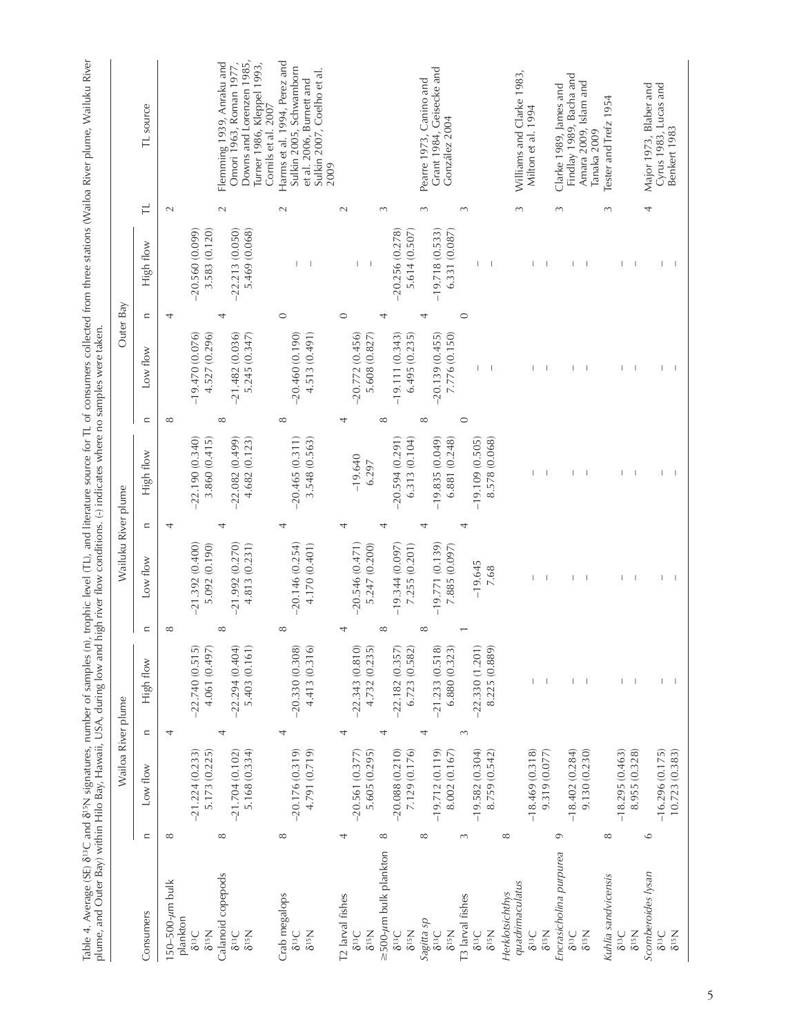| plume, and Outer Bay) within Hilo Bay, Hawaii, USA, during low and high river flow conditions. (-) indicates where no samples were taken. |                                  |                                   |                      |                                   |                                  |                                   |                      |                                   |                                  |                                   |                                  |                                   |             |                                                                                                                |
|-------------------------------------------------------------------------------------------------------------------------------------------|----------------------------------|-----------------------------------|----------------------|-----------------------------------|----------------------------------|-----------------------------------|----------------------|-----------------------------------|----------------------------------|-----------------------------------|----------------------------------|-----------------------------------|-------------|----------------------------------------------------------------------------------------------------------------|
|                                                                                                                                           |                                  | Wailoa River plume                |                      |                                   |                                  | Wailuku River plume               |                      |                                   |                                  | Outer Bay                         |                                  |                                   |             |                                                                                                                |
| Consumers                                                                                                                                 | $\mathrel{\mathop{\sqsubseteq}}$ | Low flow                          | $\mathord{\text{=}}$ | High flow                         | $\mathrel{\mathop{\sqsubseteq}}$ | Low flow                          | $\mathord{\text{=}}$ | High flow                         | $\mathrel{\mathop{\sqsubseteq}}$ | Low flow                          | $\mathrel{\mathop{\sqsubseteq}}$ | High flow                         | $\vec{r}$   | TL source                                                                                                      |
| $150 - 500 - \mu m$ bulk<br>plankton                                                                                                      | $\infty$                         |                                   | 4                    |                                   | $^{\circ}$                       |                                   | 4                    |                                   | $^{\circ}$                       |                                   | 4                                |                                   | $\sim$      |                                                                                                                |
| $\delta^{13}C$                                                                                                                            |                                  | $-21.224(0.233)$                  |                      | $-22.740(0.515)$                  |                                  | $-21.392(0.400)$                  |                      | $-22.190(0.340)$                  |                                  | $-19.470(0.076)$                  |                                  | $-20.560(0.099)$                  |             |                                                                                                                |
| N <sub>515</sub>                                                                                                                          |                                  | 5.173 (0.225)                     |                      | 4.061 (0.497)                     |                                  | 5.092 (0.190)                     |                      | 3.860 (0.415)                     |                                  | 4.527 (0.296)                     |                                  | 3.583 (0.120)                     |             |                                                                                                                |
| Calanoid copepods<br>815N<br>$\delta^{13}C$                                                                                               | $\infty$                         | 5.168 (0.334)<br>$-21.704(0.102)$ | 4                    | $-22.294(0.404)$<br>5.403 (0.161  | $^{\circ}$                       | $-21.992(0.270)$<br>4.813 (0.231) | 4                    | $-22.082(0.499)$<br>4.682 (0.123) | $^{\circ}$                       | $-21.482(0.036)$<br>5.245 (0.347) | 4                                | $-22.213(0.050)$<br>5.469 (0.068) | $\sim$      | Downs and Lorenzen 1985,<br>Omori 1963, Roman 1977,<br>Flemming 1939, Anraku and<br>Turner 1986, Kleppel 1993, |
|                                                                                                                                           |                                  |                                   |                      |                                   |                                  |                                   |                      |                                   |                                  |                                   |                                  |                                   |             | Cornils et al. 2007                                                                                            |
| Crab megalops                                                                                                                             | $\infty$                         | $-20.176(0.319)$                  | 4                    | $-20.330(0.308)$                  | $\infty$                         | $-20.146(0.254)$                  | 4                    | $-20.465(0.311)$                  | $\infty$                         | $-20.460(0.190)$                  | $\circ$                          |                                   | $\sim$      | Harms et al. 1994, Perez and<br>Sulkin 2005, Schwamborn                                                        |
| S <sub>15</sub> N<br>$\delta^{13}C$                                                                                                       |                                  | 4.791 (0.719)                     |                      | 4.413 (0.316)                     |                                  | 4.170 (0.401)                     |                      | 3.548 (0.563)                     |                                  | 4.513 (0.491)                     |                                  |                                   |             | Sulkin 2007, Coelho et al.<br>et al. 2006, Burnett and                                                         |
| T <sub>2</sub> larval fishes                                                                                                              |                                  |                                   |                      |                                   |                                  |                                   |                      |                                   |                                  |                                   |                                  |                                   |             | 2009                                                                                                           |
|                                                                                                                                           | 4                                |                                   | 4                    |                                   |                                  |                                   |                      |                                   |                                  |                                   | $\circ$                          |                                   | $\mathbf 2$ |                                                                                                                |
| S <sup>15</sup> N<br>$\delta^{13}C$                                                                                                       |                                  | 5.605 (0.295)<br>$-20.561(0.377)$ |                      | $-22.343(0.810)$<br>4.732 (0.235) |                                  | $-20.546(0.471)$<br>5.247 (0.200) |                      | $-19.640$<br>6.297                |                                  | $-20.772(0.456)$<br>5.608 (0.827) |                                  | J,                                |             |                                                                                                                |
| ≥500-µm bulk plankton                                                                                                                     | $^{\circ}$                       |                                   | 4                    |                                   | $\infty$                         |                                   |                      |                                   | $\infty$                         |                                   | 4                                |                                   | 3           |                                                                                                                |
| S <sup>15</sup> N<br>513C                                                                                                                 |                                  | $-20.088(0.210)$<br>7.129 (0.176) |                      | 6.723(0.582)<br>$-22.182(0.357)$  |                                  | $-19.344(0.097)$<br>7.255 (0.201) |                      | $-20.594(0.291)$<br>6.313 (0.104) |                                  | $-19.111(0.343)$<br>6.495(0.235)  |                                  | $-20.256(0.278)$<br>5.614 (0.507) |             |                                                                                                                |
| Sagitta sp                                                                                                                                | ∞                                |                                   | 4                    |                                   | ∞                                |                                   |                      |                                   | ∞                                |                                   | 4                                |                                   | 3           | Pearre 1973, Canino and                                                                                        |
| $\delta^{13}C$                                                                                                                            |                                  | $-19.712(0.119)$                  |                      | $-21.233(0.518)$                  |                                  | $-19.771(0.139)$                  |                      | $-19.835(0.049)$                  |                                  | $-20.139(0.455)$                  |                                  | $-19.718(0.533)$                  |             | Grant 1984, Geisecke and<br>González 2004                                                                      |
| $\delta$ <sup>15</sup> N                                                                                                                  |                                  | 8.002 (0.167)                     |                      | 6.880 (0.323)                     |                                  | 7.885 (0.097)                     |                      | 6.881 (0.248)                     |                                  | 7.776 (0.150)                     |                                  | 6.331 (0.087)                     |             |                                                                                                                |
| T <sub>3</sub> larval fishes                                                                                                              | 3                                |                                   | 3                    |                                   |                                  |                                   |                      |                                   | $\circ$                          |                                   | $\circ$                          |                                   | 3           |                                                                                                                |
| $\delta$ <sup>15</sup> N<br>$5^{13}C$                                                                                                     |                                  | $-19.582(0.304)$<br>8.759 (0.542) |                      | $-22.330(1.201)$<br>8.225 (0.889  |                                  | $-19.645$<br>7.68                 |                      | $-19.109(0.505)$<br>8.578 (0.068) |                                  |                                   |                                  |                                   |             |                                                                                                                |
| quadrimaculatus<br>Herklotsichthys                                                                                                        | $^{\circ}$                       |                                   |                      |                                   |                                  |                                   |                      |                                   |                                  |                                   |                                  |                                   | S           | Williams and Clarke 1983,                                                                                      |
| $\delta^{13}C$                                                                                                                            |                                  | $-18.469(0.318)$                  |                      |                                   |                                  |                                   |                      |                                   |                                  |                                   |                                  |                                   |             | Milton et al. 1994                                                                                             |
| N <sub>515</sub>                                                                                                                          |                                  | 9.319 (0.077)                     |                      |                                   |                                  |                                   |                      | $\overline{\phantom{a}}$          |                                  |                                   |                                  |                                   |             |                                                                                                                |
| Encrasicholina purpurea                                                                                                                   | ത                                |                                   |                      |                                   |                                  |                                   |                      |                                   |                                  |                                   |                                  |                                   |             | Clarke 1989, James and                                                                                         |
| $\delta^{13}C$                                                                                                                            |                                  | $-18.402(0.284)$                  |                      | Τ.                                |                                  |                                   |                      |                                   |                                  |                                   |                                  |                                   |             | Findlay 1989, Bacha and                                                                                        |
| 815N                                                                                                                                      |                                  | 9.130 (0.230)                     |                      | -1                                |                                  |                                   |                      | $\mathbf{I}$                      |                                  |                                   |                                  |                                   |             | Amara 2009, Islam and<br>Tanaka 2009                                                                           |
| Kuhlia sandvicensis                                                                                                                       | $^{\circ}$                       |                                   |                      |                                   |                                  |                                   |                      |                                   |                                  |                                   |                                  |                                   | S           | Tester and Trefz 1954                                                                                          |
| $\delta^{13}C$                                                                                                                            |                                  | $-18.295(0.463)$                  |                      | $\mathbf{L}$                      |                                  |                                   |                      |                                   |                                  |                                   |                                  |                                   |             |                                                                                                                |
| N <sub>515</sub>                                                                                                                          |                                  | 8.955 (0.328)                     |                      |                                   |                                  |                                   |                      |                                   |                                  |                                   |                                  |                                   |             |                                                                                                                |
| Scomberoides lysan<br>$\delta^{13}C$                                                                                                      | ے                                | $-16.296(0.175)$                  |                      |                                   |                                  |                                   |                      |                                   |                                  |                                   |                                  |                                   | 4           | Major 1973, Blaber and                                                                                         |
| S15N                                                                                                                                      |                                  | 10.723 (0.383)                    |                      | т                                 |                                  |                                   |                      |                                   |                                  |                                   |                                  |                                   |             | Cyrus 1983, Lucas and<br>Benkert 1983                                                                          |
|                                                                                                                                           |                                  |                                   |                      |                                   |                                  |                                   |                      |                                   |                                  |                                   |                                  |                                   |             |                                                                                                                |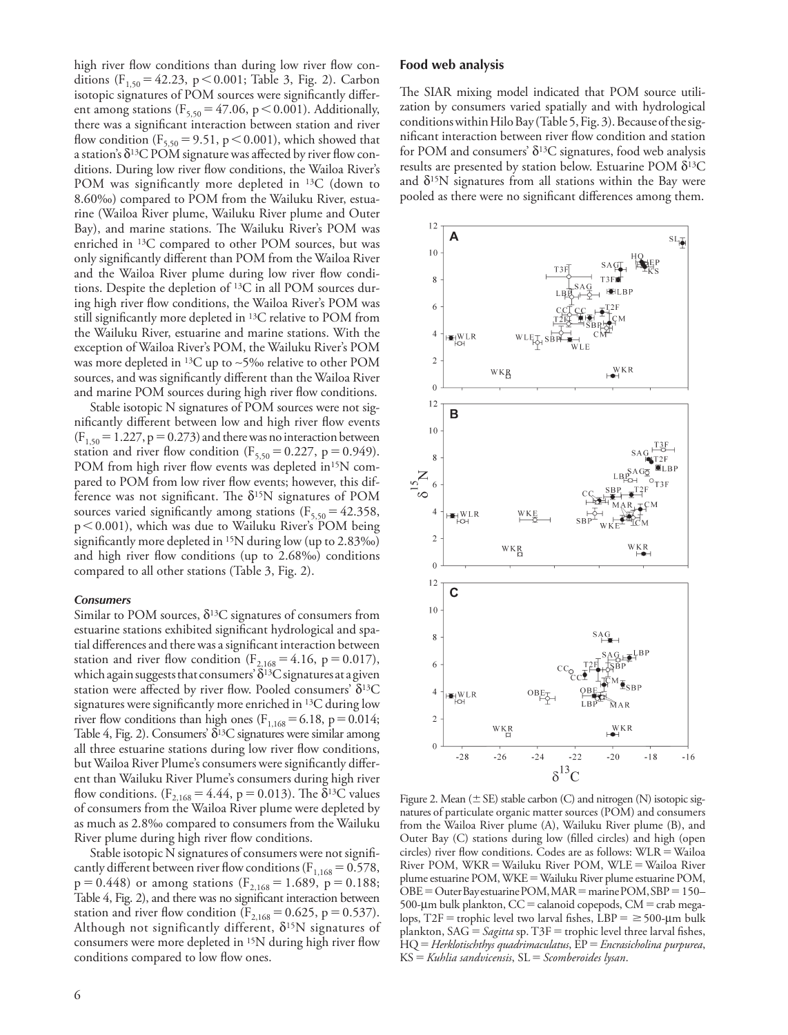high river flow conditions than during low river flow conditions ( $F_{1,50} = 42.23$ , p < 0.001; Table 3, Fig. 2). Carbon isotopic signatures of POM sources were significantly different among stations ( $F_{5,50}$  = 47.06, p < 0.001). Additionally, there was a significant interaction between station and river flow condition ( $F_{5,50}$  = 9.51, p < 0.001), which showed that a station's  $\delta^{13}$ C POM signature was affected by river flow conditions. During low river flow conditions, the Wailoa River's POM was significantly more depleted in 13C (down to 8.60‰) compared to POM from the Wailuku River, estuarine (Wailoa River plume, Wailuku River plume and Outer Bay), and marine stations. The Wailuku River's POM was enriched in 13C compared to other POM sources, but was only significantly different than POM from the Wailoa River and the Wailoa River plume during low river flow conditions. Despite the depletion of 13C in all POM sources during high river flow conditions, the Wailoa River's POM was still significantly more depleted in 13C relative to POM from the Wailuku River, estuarine and marine stations. With the exception of Wailoa River's POM, the Wailuku River's POM was more depleted in 13C up to ∼5‰ relative to other POM sources, and was significantly different than the Wailoa River and marine POM sources during high river flow conditions.

Stable isotopic N signatures of POM sources were not significantly different between low and high river flow events  $(F<sub>1.50</sub> = 1.227, p = 0.273)$  and there was no interaction between station and river flow condition ( $F_{5,50} = 0.227$ , p = 0.949). POM from high river flow events was depleted in<sup>15</sup>N compared to POM from low river flow events; however, this difference was not significant. The  $\delta^{15}N$  signatures of POM sources varied significantly among stations ( $F_{5,50} = 42.358$ ,  $p<0.001$ ), which was due to Wailuku River's POM being significantly more depleted in 15N during low (up to 2.83‰) and high river flow conditions (up to 2.68‰) conditions compared to all other stations (Table 3, Fig. 2).

#### *Consumers*

Similar to POM sources,  $\delta^{13}$ C signatures of consumers from estuarine stations exhibited significant hydrological and spatial differences and there was a significant interaction between station and river flow condition ( $F_{2,168} = 4.16$ , p = 0.017), which again suggests that consumers'  $\delta^{13}$ C signatures at a given station were affected by river flow. Pooled consumers'  $\delta^{13}C$ signatures were significantly more enriched in 13C during low river flow conditions than high ones ( $F_{1,168} = 6.18$ , p = 0.014; Table 4, Fig. 2). Consumers'  $\delta^{13}$ C signatures were similar among all three estuarine stations during low river flow conditions, but Wailoa River Plume's consumers were significantly different than Wailuku River Plume's consumers during high river flow conditions. ( $F_{2,168} = 4.44$ , p = 0.013). The  $\delta^{13}C$  values of consumers from the Wailoa River plume were depleted by as much as 2.8‰ compared to consumers from the Wailuku River plume during high river flow conditions.

Stable isotopic N signatures of consumers were not significantly different between river flow conditions ( $F_{1,168} = 0.578$ ,  $p = 0.448$ ) or among stations (F<sub>2,168</sub> = 1.689, p = 0.188; Table 4, Fig. 2), and there was no significant interaction between station and river flow condition ( $F_{2,168} = 0.625$ , p = 0.537). Although not significantly different,  $\delta^{15}N$  signatures of consumers were more depleted in 15N during high river flow conditions compared to low flow ones.

#### **Food web analysis**

The SIAR mixing model indicated that POM source utilization by consumers varied spatially and with hydrological conditions within Hilo Bay (Table 5, Fig. 3). Because of the significant interaction between river flow condition and station for POM and consumers'  $\delta^{13}$ C signatures, food web analysis results are presented by station below. Estuarine POM  $\delta^{13}C$ and  $\delta^{15}N$  signatures from all stations within the Bay were pooled as there were no significant differences among them.



Figure 2. Mean ( $\pm$  SE) stable carbon (C) and nitrogen (N) isotopic signatures of particulate organic matter sources (POM) and consumers from the Wailoa River plume (A), Wailuku River plume (B), and Outer Bay (C) stations during low (filled circles) and high (open circles) river flow conditions. Codes are as follows:  $WLR = Wa$ iloa River POM, WKR = Wailuku River POM, WLE = Wailoa River plume estuarine POM, WKE = Wailuku River plume estuarine POM,  $OBE =$ Outer Bay estuarine POM, MAR = marine POM, SBP = 150– 500-µm bulk plankton,  $CC =$  calanoid copepods,  $CM =$  crab megalops, T2F = trophic level two larval fishes, LBP =  $\geq$  500-µm bulk plankton,  $SAG =$  *Sagitta* sp. T3F = trophic level three larval fishes, HQ*Herklotischthys quadrimaculatus*, EP*Encrasicholina purpurea*, KS*Kuhlia sandvicensis*, SL*Scomberoides lysan*.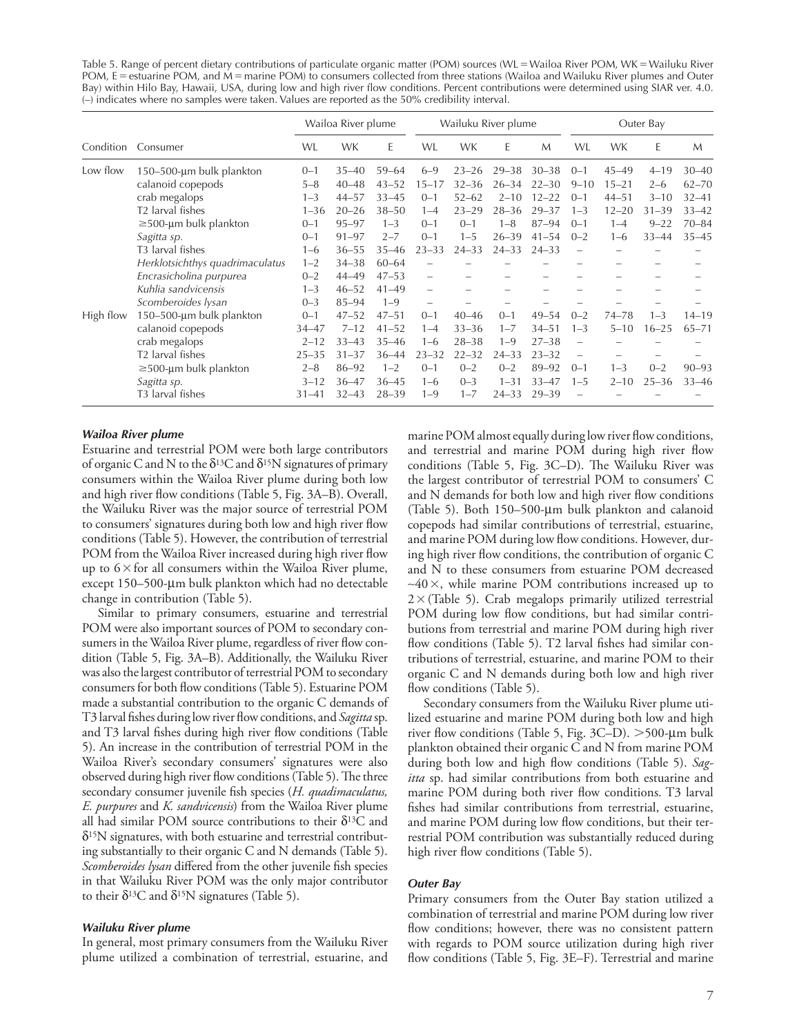| Table 5. Range of percent dietary contributions of particulate organic matter (POM) sources (WL = Wailoa River POM, WK = Wailuku River   |
|------------------------------------------------------------------------------------------------------------------------------------------|
| POM, E = estuarine POM, and M = marine POM) to consumers collected from three stations (Wailoa and Wailuku River plumes and Outer        |
| Bay) within Hilo Bay, Hawaii, USA, during low and high river flow conditions. Percent contributions were determined using SIAR ver. 4.0. |
| $(-)$ indicates where no samples were taken. Values are reported as the 50% credibility interval.                                        |

|           |                                 |           | Wailoa River plume | Wailuku River plume |                          |           |           |           | Outer Bay |           |           |           |  |
|-----------|---------------------------------|-----------|--------------------|---------------------|--------------------------|-----------|-----------|-----------|-----------|-----------|-----------|-----------|--|
| Condition | Consumer                        | WL        | WK.                | E                   | WL                       | <b>WK</b> | E         | M         | WL        | <b>WK</b> | E         | M         |  |
| Low flow  | 150–500-µm bulk plankton        | $0 - 1$   | $35 - 40$          | $59 - 64$           | $6 - 9$                  | $23 - 26$ | $29 - 38$ | $30 - 38$ | $0 - 1$   | $45 - 49$ | $4 - 19$  | $30 - 40$ |  |
|           | calanoid copepods               | $5 - 8$   | $40 - 48$          | $43 - 52$           | $15 - 17$                | $32 - 36$ | $26 - 34$ | $22 - 30$ | $9 - 10$  | $15 - 21$ | $2 - 6$   | $62 - 70$ |  |
|           | crab megalops                   | $1 - 3$   | $44 - 57$          | $33 - 45$           | $0 - 1$                  | $52 - 62$ | $2 - 10$  | $12 - 22$ | $0 - 1$   | $44 - 51$ | $3 - 10$  | $32 - 41$ |  |
|           | T <sub>2</sub> larval fishes    | $1 - 36$  | $20 - 26$          | $38 - 50$           | $1 - 4$                  | $23 - 29$ | $28 - 36$ | $29 - 37$ | $1 - 3$   | $12 - 20$ | $31 - 39$ | $33 - 42$ |  |
|           | $\geq$ 500-µm bulk plankton     | $0 - 1$   | 95-97              | $1 - 3$             | $0 - 1$                  | $0 - 1$   | $1 - 8$   | 87-94     | $() - 1$  | $1 - 4$   | $9 - 22$  | $70 - 84$ |  |
|           | Sagitta sp.                     | $0 - 1$   | $91 - 97$          | $2 - 7$             | $0 - 1$                  | $1 - 5$   | $26 - 39$ | $41 - 54$ | $0 - 2$   | $1 - 6$   | $33 - 44$ | $35 - 45$ |  |
|           | T <sub>3</sub> larval fishes    | $1 - 6$   | $36 - 55$          | $35 - 46$           | $23 - 33$                | $24 - 33$ | $24 - 33$ | $24 - 33$ |           |           |           |           |  |
|           | Herklotsichthys quadrimaculatus | $1 - 2$   | $34 - 38$          | $60 - 64$           |                          |           |           |           |           |           |           |           |  |
|           | Encrasicholina purpurea         | $0 - 2$   | 44-49              | $47 - 53$           |                          |           |           |           |           |           |           |           |  |
|           | Kuhlia sandvicensis             | $1 - 3$   | $46 - 52$          | $41 - 49$           |                          |           |           |           |           |           |           |           |  |
|           | Scomberoides lysan              | $0 - 3$   | 85-94              | $1 - 9$             | $\overline{\phantom{0}}$ |           |           |           |           |           |           |           |  |
| High flow | 150-500-µm bulk plankton        | $0 - 1$   | $47 - 52$          | $47 - 51$           | $0 - 1$                  | $40 - 46$ | $0 - 1$   | $49 - 54$ | $0 - 2$   | $74 - 78$ | $1 - 3$   | $14 - 19$ |  |
|           | calanoid copepods               | 34-47     | $7 - 12$           | $41 - 52$           | $1 - 4$                  | $33 - 36$ | $1 - 7$   | $34 - 51$ | $1 - 3$   | $5 - 10$  | $16 - 25$ | $65 - 71$ |  |
|           | crab megalops                   | $2 - 12$  | $33 - 43$          | $35 - 46$           | $1 - 6$                  | $28 - 38$ | $1 - 9$   | $27 - 38$ |           |           |           |           |  |
|           | T <sub>2</sub> larval fishes    | $25 - 35$ | $31 - 37$          | $36 - 44$           | $23 - 32$                | $22 - 32$ | $24 - 33$ | $23 - 32$ |           |           |           |           |  |
|           | $\geq$ 500-µm bulk plankton     | $2 - 8$   | 86-92              | $1 - 2$             | $0 - 1$                  | $0 - 2$   | $0 - 2$   | 89-92     | $0 - 1$   | $1 - 3$   | $0 - 2$   | $90 - 93$ |  |
|           | Sagitta sp.                     | $3 - 12$  | $36 - 47$          | $36 - 45$           | $1 - 6$                  | $0 - 3$   | $1 - 31$  | $33 - 47$ | $1 - 5$   | $2 - 10$  | $25 - 36$ | $33 - 46$ |  |
|           | T <sub>3</sub> larval fishes    | $31 - 41$ | $32 - 43$          | $28 - 39$           | $1 - 9$                  | $1 - 7$   | $24 - 33$ | $29 - 39$ |           |           |           |           |  |

#### *Wailoa River plume*

Estuarine and terrestrial POM were both large contributors of organic C and N to the  $\delta^{13}$ C and  $\delta^{15}$ N signatures of primary consumers within the Wailoa River plume during both low and high river flow conditions (Table 5, Fig. 3A–B). Overall, the Wailuku River was the major source of terrestrial POM to consumers' signatures during both low and high river flow conditions (Table 5). However, the contribution of terrestrial POM from the Wailoa River increased during high river flow up to  $6 \times$  for all consumers within the Wailoa River plume, except 150–500-µm bulk plankton which had no detectable change in contribution (Table 5).

Similar to primary consumers, estuarine and terrestrial POM were also important sources of POM to secondary consumers in the Wailoa River plume, regardless of river flow condition (Table 5, Fig. 3A–B). Additionally, the Wailuku River was also the largest contributor of terrestrial POM to secondary consumers for both flow conditions (Table 5). Estuarine POM made a substantial contribution to the organic C demands of T3 larval fishes during low river flow conditions, and *Sagitta* sp. and T3 larval fishes during high river flow conditions (Table 5). An increase in the contribution of terrestrial POM in the Wailoa River's secondary consumers' signatures were also observed during high river flow conditions (Table 5). The three secondary consumer juvenile fish species (*H. quadimaculatus, E. purpures* and *K. sandvicensis*) from the Wailoa River plume all had similar POM source contributions to their  $\delta^{13}C$  and  $\delta$ <sup>15</sup>N signatures, with both estuarine and terrestrial contributing substantially to their organic C and N demands (Table 5). *Scomberoides lysan* differed from the other juvenile fish species in that Wailuku River POM was the only major contributor to their  $\delta^{13}$ C and  $\delta^{15}$ N signatures (Table 5).

#### *Wailuku River plume*

In general, most primary consumers from the Wailuku River plume utilized a combination of terrestrial, estuarine, and marine POM almost equally during low river flow conditions, and terrestrial and marine POM during high river flow conditions (Table 5, Fig. 3C–D). The Wailuku River was the largest contributor of terrestrial POM to consumers' C and N demands for both low and high river flow conditions (Table 5). Both  $150-500$ - $\mu$ m bulk plankton and calanoid copepods had similar contributions of terrestrial, estuarine, and marine POM during low flow conditions. However, during high river flow conditions, the contribution of organic C and N to these consumers from estuarine POM decreased ∼40 , while marine POM contributions increased up to  $2 \times$  (Table 5). Crab megalops primarily utilized terrestrial POM during low flow conditions, but had similar contributions from terrestrial and marine POM during high river flow conditions (Table 5). T2 larval fishes had similar contributions of terrestrial, estuarine, and marine POM to their organic C and N demands during both low and high river flow conditions (Table 5).

Secondary consumers from the Wailuku River plume utilized estuarine and marine POM during both low and high river flow conditions (Table 5, Fig.  $3C-D$ ).  $>500$ -µm bulk plankton obtained their organic C and N from marine POM during both low and high flow conditions (Table 5). *Sagitta* sp. had similar contributions from both estuarine and marine POM during both river flow conditions. T3 larval fishes had similar contributions from terrestrial, estuarine, and marine POM during low flow conditions, but their terrestrial POM contribution was substantially reduced during high river flow conditions (Table 5).

#### *Outer Bay*

Primary consumers from the Outer Bay station utilized a combination of terrestrial and marine POM during low river flow conditions; however, there was no consistent pattern with regards to POM source utilization during high river flow conditions (Table 5, Fig. 3E–F). Terrestrial and marine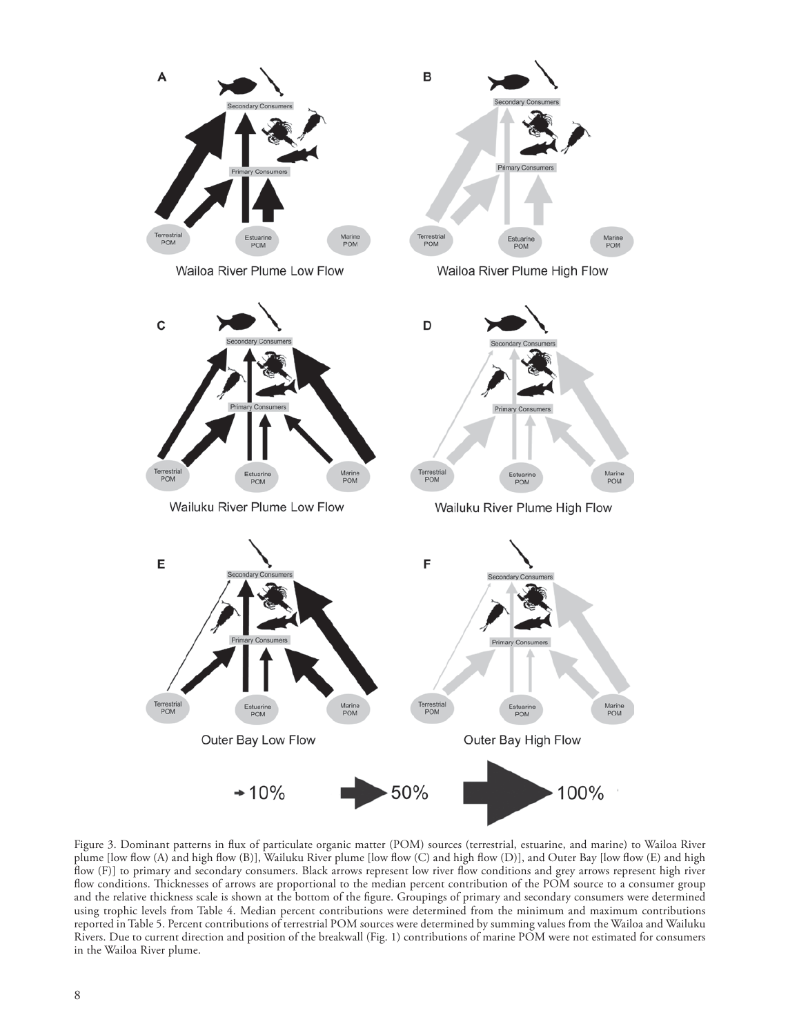

Figure 3. Dominant patterns in flux of particulate organic matter (POM) sources (terrestrial, estuarine, and marine) to Wailoa River plume [low flow (A) and high flow (B)], Wailuku River plume [low flow (C) and high flow (D)], and Outer Bay [low flow (E) and high flow (F)] to primary and secondary consumers. Black arrows represent low river flow conditions and grey arrows represent high river flow conditions. Thicknesses of arrows are proportional to the median percent contribution of the POM source to a consumer group and the relative thickness scale is shown at the bottom of the figure. Groupings of primary and secondary consumers were determined using trophic levels from Table 4. Median percent contributions were determined from the minimum and maximum contributions reported in Table 5. Percent contributions of terrestrial POM sources were determined by summing values from the Wailoa and Wailuku Rivers. Due to current direction and position of the breakwall (Fig. 1) contributions of marine POM were not estimated for consumers in the Wailoa River plume.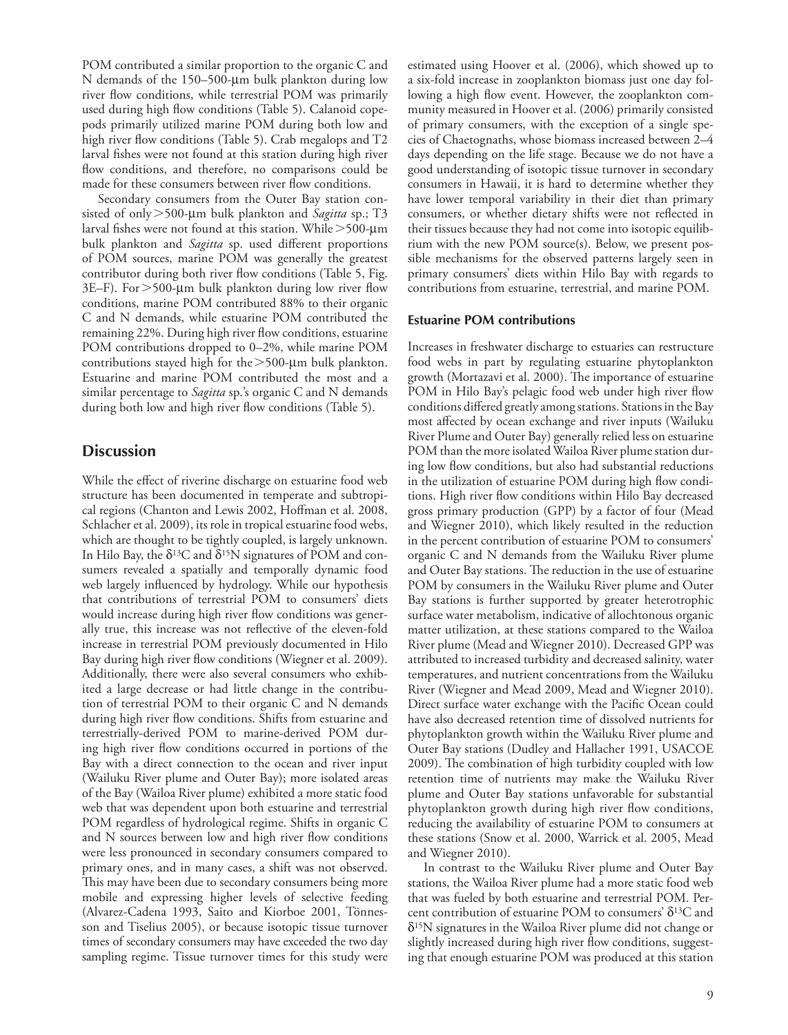POM contributed a similar proportion to the organic C and N demands of the  $150-500$ - $\mu$ m bulk plankton during low river flow conditions, while terrestrial POM was primarily used during high flow conditions (Table 5). Calanoid copepods primarily utilized marine POM during both low and high river flow conditions (Table 5). Crab megalops and T2 larval fishes were not found at this station during high river flow conditions, and therefore, no comparisons could be made for these consumers between river flow conditions.

Secondary consumers from the Outer Bay station consisted of only > 500-µm bulk plankton and *Sagitta* sp.; T3 larval fishes were not found at this station. While  $>$ 500- $\mu$ m bulk plankton and *Sagitta* sp. used different proportions of POM sources, marine POM was generally the greatest contributor during both river flow conditions (Table 5, Fig.  $3E-F$ ). For  $>500$ - $\mu$ m bulk plankton during low river flow conditions, marine POM contributed 88% to their organic C and N demands, while estuarine POM contributed the remaining 22%. During high river flow conditions, estuarine POM contributions dropped to 0–2%, while marine POM contributions stayed high for the $>$ 500-µm bulk plankton. Estuarine and marine POM contributed the most and a similar percentage to *Sagitta* sp.'s organic C and N demands during both low and high river flow conditions (Table 5).

# **Discussion**

While the effect of riverine discharge on estuarine food web structure has been documented in temperate and subtropical regions (Chanton and Lewis 2002, Hoffman et al. 2008, Schlacher et al. 2009), its role in tropical estuarine food webs, which are thought to be tightly coupled, is largely unknown. In Hilo Bay, the  $\delta^{13}C$  and  $\delta^{15}N$  signatures of POM and consumers revealed a spatially and temporally dynamic food web largely influenced by hydrology. While our hypothesis that contributions of terrestrial POM to consumers' diets would increase during high river flow conditions was generally true, this increase was not reflective of the eleven-fold increase in terrestrial POM previously documented in Hilo Bay during high river flow conditions (Wiegner et al. 2009). Additionally, there were also several consumers who exhibited a large decrease or had little change in the contribution of terrestrial POM to their organic C and N demands during high river flow conditions. Shifts from estuarine and terrestrially-derived POM to marine-derived POM during high river flow conditions occurred in portions of the Bay with a direct connection to the ocean and river input (Wailuku River plume and Outer Bay); more isolated areas of the Bay (Wailoa River plume) exhibited a more static food web that was dependent upon both estuarine and terrestrial POM regardless of hydrological regime. Shifts in organic C and N sources between low and high river flow conditions were less pronounced in secondary consumers compared to primary ones, and in many cases, a shift was not observed. This may have been due to secondary consumers being more mobile and expressing higher levels of selective feeding (Alvarez-Cadena 1993, Saito and Kiorboe 2001, Tönnesson and Tiselius 2005), or because isotopic tissue turnover times of secondary consumers may have exceeded the two day sampling regime. Tissue turnover times for this study were estimated using Hoover et al. (2006), which showed up to a six-fold increase in zooplankton biomass just one day following a high flow event. However, the zooplankton community measured in Hoover et al. (2006) primarily consisted of primary consumers, with the exception of a single species of Chaetognaths, whose biomass increased between 2–4 days depending on the life stage. Because we do not have a good understanding of isotopic tissue turnover in secondary consumers in Hawaii, it is hard to determine whether they have lower temporal variability in their diet than primary consumers, or whether dietary shifts were not reflected in their tissues because they had not come into isotopic equilibrium with the new POM source(s). Below, we present possible mechanisms for the observed patterns largely seen in primary consumers' diets within Hilo Bay with regards to contributions from estuarine, terrestrial, and marine POM.

#### **Estuarine POM contributions**

Increases in freshwater discharge to estuaries can restructure food webs in part by regulating estuarine phytoplankton growth (Mortazavi et al. 2000). The importance of estuarine POM in Hilo Bay's pelagic food web under high river flow conditions differed greatly among stations. Stations in the Bay most affected by ocean exchange and river inputs (Wailuku River Plume and Outer Bay) generally relied less on estuarine POM than the more isolated Wailoa River plume station during low flow conditions, but also had substantial reductions in the utilization of estuarine POM during high flow conditions. High river flow conditions within Hilo Bay decreased gross primary production (GPP) by a factor of four (Mead and Wiegner 2010), which likely resulted in the reduction in the percent contribution of estuarine POM to consumers' organic C and N demands from the Wailuku River plume and Outer Bay stations. The reduction in the use of estuarine POM by consumers in the Wailuku River plume and Outer Bay stations is further supported by greater heterotrophic surface water metabolism, indicative of allochtonous organic matter utilization, at these stations compared to the Wailoa River plume (Mead and Wiegner 2010). Decreased GPP was attributed to increased turbidity and decreased salinity, water temperatures, and nutrient concentrations from the Wailuku River (Wiegner and Mead 2009, Mead and Wiegner 2010). Direct surface water exchange with the Pacific Ocean could have also decreased retention time of dissolved nutrients for phytoplankton growth within the Wailuku River plume and Outer Bay stations (Dudley and Hallacher 1991, USACOE 2009). The combination of high turbidity coupled with low retention time of nutrients may make the Wailuku River plume and Outer Bay stations unfavorable for substantial phytoplankton growth during high river flow conditions, reducing the availability of estuarine POM to consumers at these stations (Snow et al. 2000, Warrick et al. 2005, Mead and Wiegner 2010).

In contrast to the Wailuku River plume and Outer Bay stations, the Wailoa River plume had a more static food web that was fueled by both estuarine and terrestrial POM. Percent contribution of estuarine POM to consumers'  $\delta^{13}$ C and  $\delta$ <sup>15</sup>N signatures in the Wailoa River plume did not change or slightly increased during high river flow conditions, suggesting that enough estuarine POM was produced at this station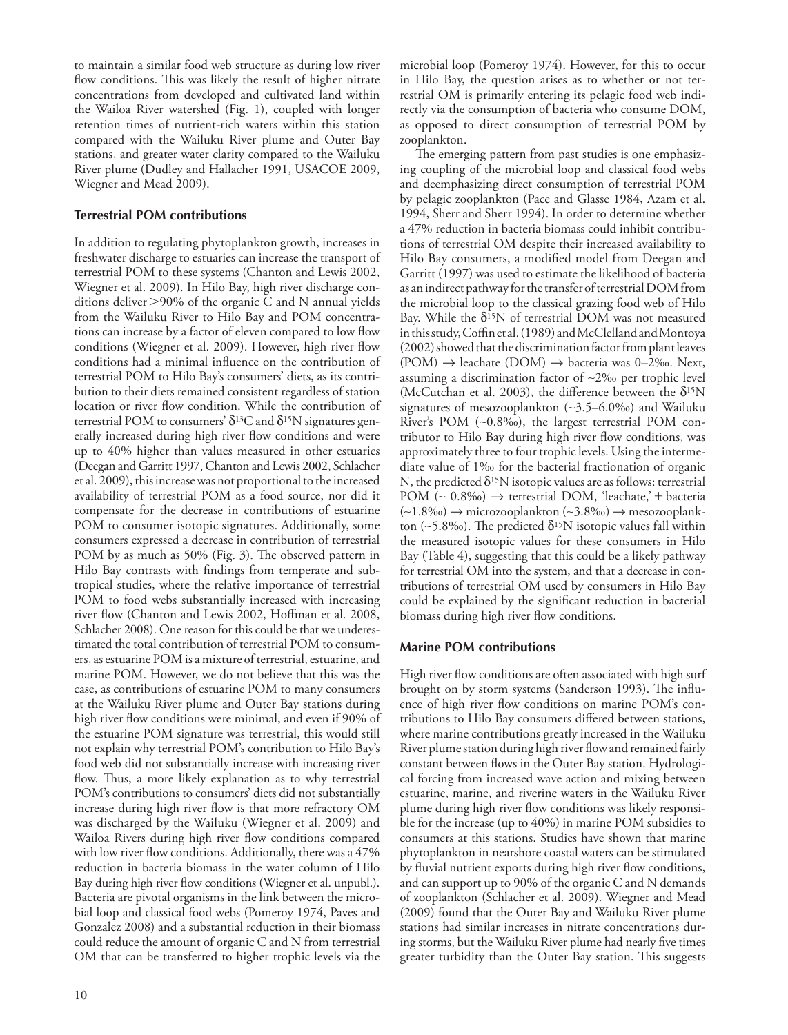to maintain a similar food web structure as during low river flow conditions. This was likely the result of higher nitrate concentrations from developed and cultivated land within the Wailoa River watershed (Fig. 1), coupled with longer retention times of nutrient-rich waters within this station compared with the Wailuku River plume and Outer Bay stations, and greater water clarity compared to the Wailuku River plume (Dudley and Hallacher 1991, USACOE 2009, Wiegner and Mead 2009).

## **Terrestrial POM contributions**

In addition to regulating phytoplankton growth, increases in freshwater discharge to estuaries can increase the transport of terrestrial POM to these systems (Chanton and Lewis 2002, Wiegner et al. 2009). In Hilo Bay, high river discharge conditions deliver $>90\%$  of the organic C and N annual yields from the Wailuku River to Hilo Bay and POM concentrations can increase by a factor of eleven compared to low flow conditions (Wiegner et al. 2009). However, high river flow conditions had a minimal influence on the contribution of terrestrial POM to Hilo Bay's consumers' diets, as its contribution to their diets remained consistent regardless of station location or river flow condition. While the contribution of terrestrial POM to consumers'  $\delta^{13}$ C and  $\delta^{15}$ N signatures generally increased during high river flow conditions and were up to 40% higher than values measured in other estuaries (Deegan and Garritt 1997, Chanton and Lewis 2002, Schlacher et al. 2009), this increase was not proportional to the increased availability of terrestrial POM as a food source, nor did it compensate for the decrease in contributions of estuarine POM to consumer isotopic signatures. Additionally, some consumers expressed a decrease in contribution of terrestrial POM by as much as 50% (Fig. 3). The observed pattern in Hilo Bay contrasts with findings from temperate and subtropical studies, where the relative importance of terrestrial POM to food webs substantially increased with increasing river flow (Chanton and Lewis 2002, Hoffman et al. 2008, Schlacher 2008). One reason for this could be that we underestimated the total contribution of terrestrial POM to consumers, as estuarine POM is a mixture of terrestrial, estuarine, and marine POM. However, we do not believe that this was the case, as contributions of estuarine POM to many consumers at the Wailuku River plume and Outer Bay stations during high river flow conditions were minimal, and even if 90% of the estuarine POM signature was terrestrial, this would still not explain why terrestrial POM's contribution to Hilo Bay's food web did not substantially increase with increasing river flow. Thus, a more likely explanation as to why terrestrial POM's contributions to consumers' diets did not substantially increase during high river flow is that more refractory OM was discharged by the Wailuku (Wiegner et al. 2009) and Wailoa Rivers during high river flow conditions compared with low river flow conditions. Additionally, there was a 47% reduction in bacteria biomass in the water column of Hilo Bay during high river flow conditions (Wiegner et al. unpubl.). Bacteria are pivotal organisms in the link between the microbial loop and classical food webs (Pomeroy 1974, Paves and Gonzalez 2008) and a substantial reduction in their biomass could reduce the amount of organic C and N from terrestrial OM that can be transferred to higher trophic levels via the

10

microbial loop (Pomeroy 1974). However, for this to occur in Hilo Bay, the question arises as to whether or not terrestrial OM is primarily entering its pelagic food web indirectly via the consumption of bacteria who consume DOM, as opposed to direct consumption of terrestrial POM by zooplankton.

The emerging pattern from past studies is one emphasizing coupling of the microbial loop and classical food webs and deemphasizing direct consumption of terrestrial POM by pelagic zooplankton (Pace and Glasse 1984, Azam et al. 1994, Sherr and Sherr 1994). In order to determine whether a 47% reduction in bacteria biomass could inhibit contributions of terrestrial OM despite their increased availability to Hilo Bay consumers, a modified model from Deegan and Garritt (1997) was used to estimate the likelihood of bacteria as an indirect pathway for the transfer of terrestrial DOM from the microbial loop to the classical grazing food web of Hilo Bay. While the  $\delta^{15}N$  of terrestrial DOM was not measured in this study, Coffin et al. (1989) and McClelland and Montoya (2002) showed that the discrimination factor from plant leaves  $(POM) \rightarrow$  leachate  $(DOM) \rightarrow$  bacteria was 0–2‰. Next, assuming a discrimination factor of ∼2‰ per trophic level (McCutchan et al. 2003), the difference between the  $\delta^{15}N$ signatures of mesozooplankton (∼3.5–6.0‰) and Wailuku River's POM (∼0.8‰), the largest terrestrial POM contributor to Hilo Bay during high river flow conditions, was approximately three to four trophic levels. Using the intermediate value of 1‰ for the bacterial fractionation of organic N, the predicted  $\delta^{15}N$  isotopic values are as follows: terrestrial POM (~ 0.8‰) → terrestrial DOM, 'leachate,' + bacteria (∼1.8‰) → microzooplankton (∼3.8‰) → mesozooplankton (∼5.8‰). The predicted  $\delta^{15}N$  isotopic values fall within the measured isotopic values for these consumers in Hilo Bay (Table 4), suggesting that this could be a likely pathway for terrestrial OM into the system, and that a decrease in contributions of terrestrial OM used by consumers in Hilo Bay could be explained by the significant reduction in bacterial biomass during high river flow conditions.

#### **Marine POM contributions**

High river flow conditions are often associated with high surf brought on by storm systems (Sanderson 1993). The influence of high river flow conditions on marine POM's contributions to Hilo Bay consumers differed between stations, where marine contributions greatly increased in the Wailuku River plume station during high river flow and remained fairly constant between flows in the Outer Bay station. Hydrological forcing from increased wave action and mixing between estuarine, marine, and riverine waters in the Wailuku River plume during high river flow conditions was likely responsible for the increase (up to 40%) in marine POM subsidies to consumers at this stations. Studies have shown that marine phytoplankton in nearshore coastal waters can be stimulated by fluvial nutrient exports during high river flow conditions, and can support up to 90% of the organic C and N demands of zooplankton (Schlacher et al. 2009). Wiegner and Mead (2009) found that the Outer Bay and Wailuku River plume stations had similar increases in nitrate concentrations during storms, but the Wailuku River plume had nearly five times greater turbidity than the Outer Bay station. This suggests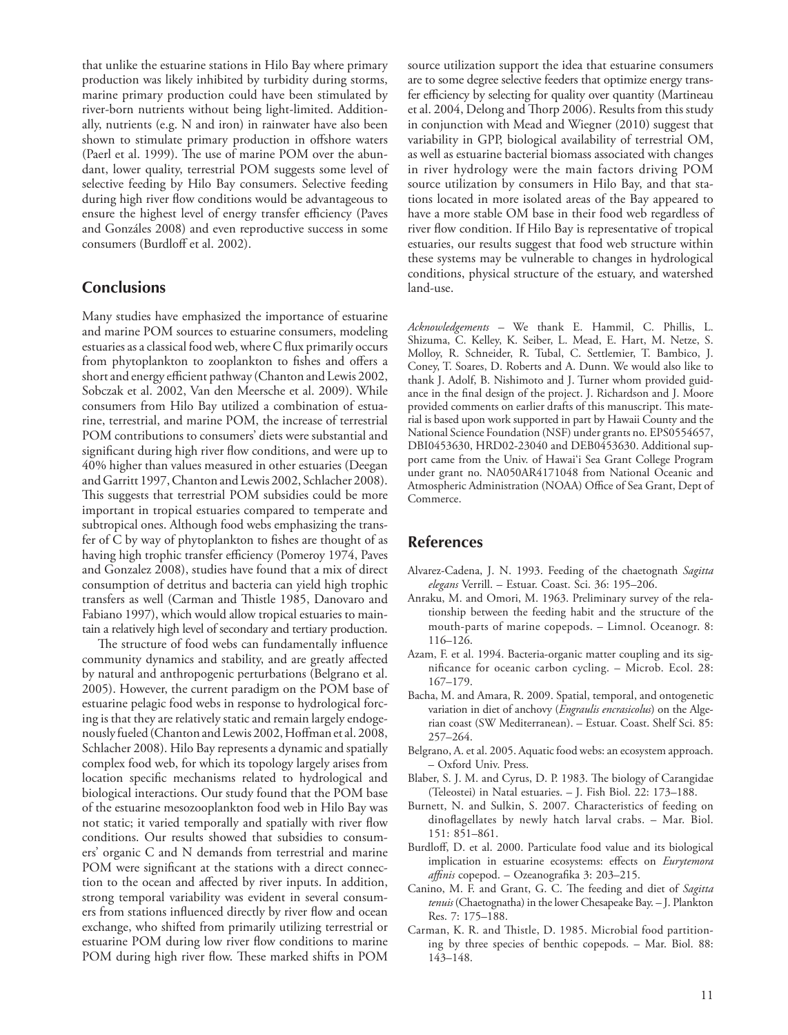that unlike the estuarine stations in Hilo Bay where primary production was likely inhibited by turbidity during storms, marine primary production could have been stimulated by river-born nutrients without being light-limited. Additionally, nutrients (e.g. N and iron) in rainwater have also been shown to stimulate primary production in offshore waters (Paerl et al. 1999). The use of marine POM over the abundant, lower quality, terrestrial POM suggests some level of selective feeding by Hilo Bay consumers. Selective feeding during high river flow conditions would be advantageous to ensure the highest level of energy transfer efficiency (Paves and Gonzáles 2008) and even reproductive success in some consumers (Burdloff et al. 2002).

# **Conclusions**

Many studies have emphasized the importance of estuarine and marine POM sources to estuarine consumers, modeling estuaries as a classical food web, where C flux primarily occurs from phytoplankton to zooplankton to fishes and offers a short and energy efficient pathway (Chanton and Lewis 2002, Sobczak et al. 2002, Van den Meersche et al. 2009). While consumers from Hilo Bay utilized a combination of estuarine, terrestrial, and marine POM, the increase of terrestrial POM contributions to consumers' diets were substantial and significant during high river flow conditions, and were up to 40% higher than values measured in other estuaries (Deegan and Garritt 1997, Chanton and Lewis 2002, Schlacher 2008). This suggests that terrestrial POM subsidies could be more important in tropical estuaries compared to temperate and subtropical ones. Although food webs emphasizing the transfer of C by way of phytoplankton to fishes are thought of as having high trophic transfer efficiency (Pomeroy 1974, Paves and Gonzalez 2008), studies have found that a mix of direct consumption of detritus and bacteria can yield high trophic transfers as well (Carman and Thistle 1985, Danovaro and Fabiano 1997), which would allow tropical estuaries to maintain a relatively high level of secondary and tertiary production.

The structure of food webs can fundamentally influence community dynamics and stability, and are greatly affected by natural and anthropogenic perturbations (Belgrano et al. 2005). However, the current paradigm on the POM base of estuarine pelagic food webs in response to hydrological forcing is that they are relatively static and remain largely endogenously fueled (Chanton and Lewis 2002, Hoffman et al. 2008, Schlacher 2008). Hilo Bay represents a dynamic and spatially complex food web, for which its topology largely arises from location specific mechanisms related to hydrological and biological interactions. Our study found that the POM base of the estuarine mesozooplankton food web in Hilo Bay was not static; it varied temporally and spatially with river flow conditions. Our results showed that subsidies to consumers' organic C and N demands from terrestrial and marine POM were significant at the stations with a direct connection to the ocean and affected by river inputs. In addition, strong temporal variability was evident in several consumers from stations influenced directly by river flow and ocean exchange, who shifted from primarily utilizing terrestrial or estuarine POM during low river flow conditions to marine POM during high river flow. These marked shifts in POM source utilization support the idea that estuarine consumers are to some degree selective feeders that optimize energy transfer efficiency by selecting for quality over quantity (Martineau et al. 2004, Delong and Thorp 2006). Results from this study in conjunction with Mead and Wiegner (2010) suggest that variability in GPP, biological availability of terrestrial OM, as well as estuarine bacterial biomass associated with changes in river hydrology were the main factors driving POM source utilization by consumers in Hilo Bay, and that stations located in more isolated areas of the Bay appeared to have a more stable OM base in their food web regardless of river flow condition. If Hilo Bay is representative of tropical estuaries, our results suggest that food web structure within these systems may be vulnerable to changes in hydrological conditions, physical structure of the estuary, and watershed land-use.

*Acknowledgements –* We thank E. Hammil, C. Phillis, L. Shizuma, C. Kelley, K. Seiber, L. Mead, E. Hart, M. Netze, S. Molloy, R. Schneider, R. Tubal, C. Settlemier, T. Bambico, J. Coney, T. Soares, D. Roberts and A. Dunn. We would also like to thank J. Adolf, B. Nishimoto and J. Turner whom provided guidance in the final design of the project. J. Richardson and J. Moore provided comments on earlier drafts of this manuscript. This material is based upon work supported in part by Hawaii County and the National Science Foundation (NSF) under grants no. EPS0554657, DBI0453630, HRD02-23040 and DEB0453630. Additional support came from the Univ. of Hawai'i Sea Grant College Program under grant no. NA050AR4171048 from National Oceanic and Atmospheric Administration (NOAA) Office of Sea Grant, Dept of Commerce.

# **References**

- Alvarez-Cadena, J. N. 1993. Feeding of the chaetognath *Sagitta elegans* Verrill. – Estuar. Coast. Sci. 36: 195–206.
- Anraku, M. and Omori, M. 1963. Preliminary survey of the relationship between the feeding habit and the structure of the mouth-parts of marine copepods. – Limnol. Oceanogr. 8: 116–126.
- Azam, F. et al. 1994. Bacteria-organic matter coupling and its significance for oceanic carbon cycling. – Microb. Ecol. 28: 167–179.
- Bacha, M. and Amara, R. 2009. Spatial, temporal, and ontogenetic variation in diet of anchovy (*Engraulis encrasicolus*) on the Algerian coast (SW Mediterranean). – Estuar. Coast. Shelf Sci. 85: 257–264.
- Belgrano, A. et al. 2005. Aquatic food webs: an ecosystem approach. – Oxford Univ. Press.
- Blaber, S. J. M. and Cyrus, D. P. 1983. The biology of Carangidae (Teleostei) in Natal estuaries. – J. Fish Biol. 22: 173–188.
- Burnett, N. and Sulkin, S. 2007. Characteristics of feeding on dinoflagellates by newly hatch larval crabs. – Mar. Biol. 151: 851–861.
- Burdloff, D. et al. 2000. Particulate food value and its biological implication in estuarine ecosystems: effects on *Eurytemora affinis* copepod. – Ozeanografika 3: 203–215.
- Canino, M. F. and Grant, G. C. The feeding and diet of *Sagitta tenuis* (Chaetognatha) in the lower Chesapeake Bay. – J. Plankton Res. 7: 175–188.
- Carman, K. R. and Thistle, D. 1985. Microbial food partitioning by three species of benthic copepods. – Mar. Biol. 88: 143–148.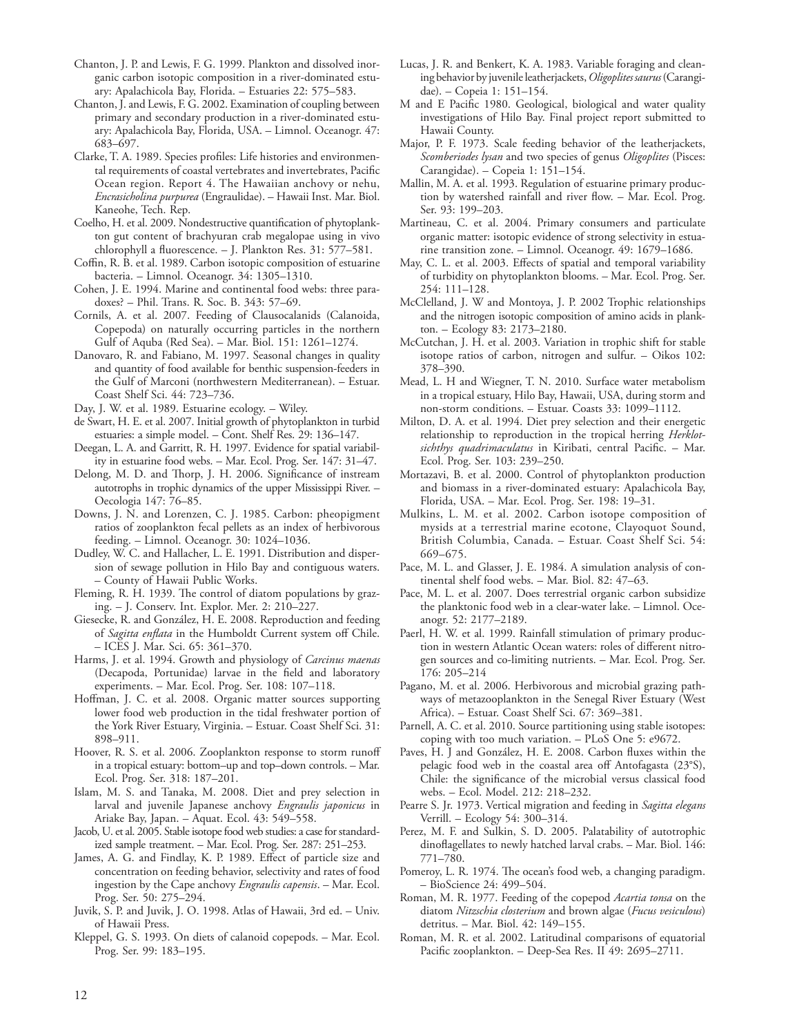- Chanton, J. P. and Lewis, F. G. 1999. Plankton and dissolved inorganic carbon isotopic composition in a river-dominated estuary: Apalachicola Bay, Florida. – Estuaries 22: 575–583.
- Chanton, J. and Lewis, F. G. 2002. Examination of coupling between primary and secondary production in a river-dominated estuary: Apalachicola Bay, Florida, USA. – Limnol. Oceanogr. 47: 683–697.
- Clarke, T. A. 1989. Species profiles: Life histories and environmental requirements of coastal vertebrates and invertebrates, Pacific Ocean region. Report 4. The Hawaiian anchovy or nehu, *Encrasicholina purpurea* (Engraulidae). – Hawaii Inst. Mar. Biol. Kaneohe, Tech. Rep.
- Coelho, H. et al. 2009. Nondestructive quantification of phytoplankton gut content of brachyuran crab megalopae using in vivo chlorophyll a fluorescence. – J. Plankton Res. 31: 577–581.
- Coffin, R. B. et al. 1989. Carbon isotopic composition of estuarine bacteria. – Limnol. Oceanogr. 34: 1305–1310.
- Cohen, J. E. 1994. Marine and continental food webs: three paradoxes? – Phil. Trans. R. Soc. B. 343: 57–69.
- Cornils, A. et al. 2007. Feeding of Clausocalanids (Calanoida, Copepoda) on naturally occurring particles in the northern Gulf of Aquba (Red Sea). – Mar. Biol. 151: 1261–1274.
- Danovaro, R. and Fabiano, M. 1997. Seasonal changes in quality and quantity of food available for benthic suspension-feeders in the Gulf of Marconi (northwestern Mediterranean). – Estuar. Coast Shelf Sci. 44: 723–736.
- Day, J. W. et al. 1989. Estuarine ecology. Wiley.
- de Swart, H. E. et al. 2007. Initial growth of phytoplankton in turbid estuaries: a simple model. – Cont. Shelf Res. 29: 136–147.
- Deegan, L. A. and Garritt, R. H. 1997. Evidence for spatial variability in estuarine food webs. – Mar. Ecol. Prog. Ser. 147: 31–47.
- Delong, M. D. and Thorp, J. H. 2006. Significance of instream autotrophs in trophic dynamics of the upper Mississippi River. – Oecologia 147: 76–85.
- Downs, J. N. and Lorenzen, C. J. 1985. Carbon: pheopigment ratios of zooplankton fecal pellets as an index of herbivorous feeding. – Limnol. Oceanogr. 30: 1024–1036.
- Dudley, W. C. and Hallacher, L. E. 1991. Distribution and dispersion of sewage pollution in Hilo Bay and contiguous waters. – County of Hawaii Public Works.
- Fleming, R. H. 1939. The control of diatom populations by grazing. – J. Conserv. Int. Explor. Mer. 2: 210–227.
- Giesecke, R. and González, H. E. 2008. Reproduction and feeding of *Sagitta enflata* in the Humboldt Current system off Chile. – ICES J. Mar. Sci. 65: 361–370.
- Harms, J. et al. 1994. Growth and physiology of *Carcinus maenas* (Decapoda, Portunidae) larvae in the field and laboratory experiments. – Mar. Ecol. Prog. Ser. 108: 107–118.
- Hoffman, J. C. et al. 2008. Organic matter sources supporting lower food web production in the tidal freshwater portion of the York River Estuary, Virginia. – Estuar. Coast Shelf Sci. 31: 898–911.
- Hoover, R. S. et al. 2006. Zooplankton response to storm runoff in a tropical estuary: bottom–up and top–down controls. – Mar. Ecol. Prog. Ser. 318: 187–201.
- Islam, M. S. and Tanaka, M. 2008. Diet and prey selection in larval and juvenile Japanese anchovy *Engraulis japonicus* in Ariake Bay, Japan. – Aquat. Ecol. 43: 549–558.
- Jacob, U. et al. 2005. Stable isotope food web studies: a case for standardized sample treatment. – Mar. Ecol. Prog. Ser. 287: 251–253.
- James, A. G. and Findlay, K. P. 1989. Effect of particle size and concentration on feeding behavior, selectivity and rates of food ingestion by the Cape anchovy *Engraulis capensis*. – Mar. Ecol. Prog. Ser. 50: 275–294.
- Juvik, S. P. and Juvik, J. O. 1998. Atlas of Hawaii, 3rd ed. Univ. of Hawaii Press.
- Kleppel, G. S. 1993. On diets of calanoid copepods. Mar. Ecol. Prog. Ser. 99: 183–195.
- Lucas, J. R. and Benkert, K. A. 1983. Variable foraging and cleaning behavior by juvenile leatherjackets, *Oligoplites saurus* (Carangidae). – Copeia 1: 151–154.
- M and E Pacific 1980. Geological, biological and water quality investigations of Hilo Bay. Final project report submitted to Hawaii County.
- Major, P. F. 1973. Scale feeding behavior of the leatherjackets, *Scomberiodes lysan* and two species of genus *Oligoplites* (Pisces: Carangidae). – Copeia 1: 151–154.
- Mallin, M. A. et al. 1993. Regulation of estuarine primary production by watershed rainfall and river flow. – Mar. Ecol. Prog. Ser. 93: 199–203.
- Martineau, C. et al. 2004. Primary consumers and particulate organic matter: isotopic evidence of strong selectivity in estuarine transition zone. – Limnol. Oceanogr. 49: 1679–1686.
- May, C. L. et al. 2003. Effects of spatial and temporal variability of turbidity on phytoplankton blooms. – Mar. Ecol. Prog. Ser. 254: 111–128.
- McClelland, J. W and Montoya, J. P. 2002 Trophic relationships and the nitrogen isotopic composition of amino acids in plankton. – Ecology 83: 2173–2180.
- McCutchan, J. H. et al. 2003. Variation in trophic shift for stable isotope ratios of carbon, nitrogen and sulfur. – Oikos 102: 378–390.
- Mead, L. H and Wiegner, T. N. 2010. Surface water metabolism in a tropical estuary, Hilo Bay, Hawaii, USA, during storm and non-storm conditions. – Estuar. Coasts 33: 1099–1112.
- Milton, D. A. et al. 1994. Diet prey selection and their energetic relationship to reproduction in the tropical herring *Herklotsichthys quadrimaculatus* in Kiribati, central Pacific. – Mar. Ecol. Prog. Ser. 103: 239–250.
- Mortazavi, B. et al. 2000. Control of phytoplankton production and biomass in a river-dominated estuary: Apalachicola Bay, Florida, USA. – Mar. Ecol. Prog. Ser. 198: 19–31.
- Mulkins, L. M. et al. 2002. Carbon isotope composition of mysids at a terrestrial marine ecotone, Clayoquot Sound, British Columbia, Canada. – Estuar. Coast Shelf Sci. 54: 669–675.
- Pace, M. L. and Glasser, J. E. 1984. A simulation analysis of continental shelf food webs. – Mar. Biol. 82: 47–63.
- Pace, M. L. et al. 2007. Does terrestrial organic carbon subsidize the planktonic food web in a clear-water lake. – Limnol. Oceanogr. 52: 2177–2189.
- Paerl, H. W. et al. 1999. Rainfall stimulation of primary production in western Atlantic Ocean waters: roles of different nitrogen sources and co-limiting nutrients. – Mar. Ecol. Prog. Ser. 176: 205–214
- Pagano, M. et al. 2006. Herbivorous and microbial grazing pathways of metazooplankton in the Senegal River Estuary (West Africa). – Estuar. Coast Shelf Sci. 67: 369–381.
- Parnell, A. C. et al. 2010. Source partitioning using stable isotopes: coping with too much variation. – PLoS One 5: e9672.
- Paves, H. J and González, H. E. 2008. Carbon fluxes within the pelagic food web in the coastal area off Antofagasta (23°S), Chile: the significance of the microbial versus classical food webs. – Ecol. Model. 212: 218–232.
- Pearre S. Jr. 1973. Vertical migration and feeding in *Sagitta elegans* Verrill. – Ecology 54: 300–314.
- Perez, M. F. and Sulkin, S. D. 2005. Palatability of autotrophic dinoflagellates to newly hatched larval crabs. – Mar. Biol. 146: 771–780.
- Pomeroy, L. R. 1974. The ocean's food web, a changing paradigm. – BioScience 24: 499–504.
- Roman, M. R. 1977. Feeding of the copepod *Acartia tonsa* on the diatom *Nitzschia closterium* and brown algae (*Fucus vesiculous*) detritus. – Mar. Biol. 42: 149–155.
- Roman, M. R. et al. 2002. Latitudinal comparisons of equatorial Pacific zooplankton. – Deep-Sea Res. II 49: 2695–2711.